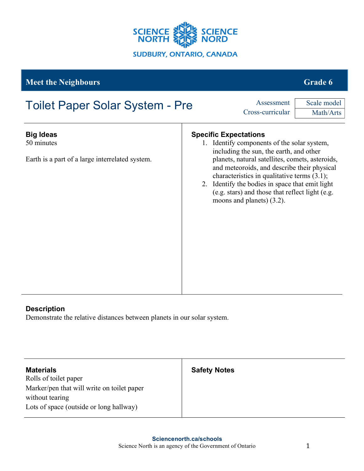

## **Meet the Neighbours Grade 6**

# **Big Ideas** 50 minutes Earth is a part of a large interrelated system. **Specific Expectations** 1. Identify components of the solar system, including the sun, the earth, and other planets, natural satellites, comets, asteroids, and meteoroids, and describe their physical characteristics in qualitative terms (3.1); 2. Identify the bodies in space that emit light (e.g. stars) and those that reflect light (e.g. moons and planets) (3.2). Toilet Paper Solar System - Pre Cross-curricular Scale model Math/Arts

## **Description**

Demonstrate the relative distances between planets in our solar system.

| <b>Materials</b><br>Rolls of toilet paper                     | <b>Safety Notes</b> |
|---------------------------------------------------------------|---------------------|
| Marker/pen that will write on toilet paper<br>without tearing |                     |
| Lots of space (outside or long hallway)                       |                     |